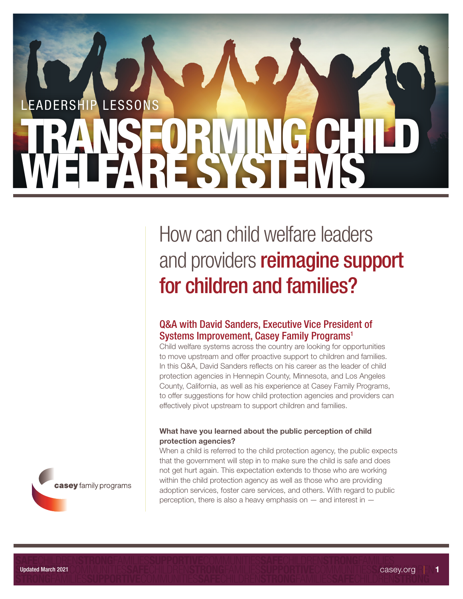# in or at risk of commercial child sexual exploitation? EADERSHIP LESSONS TRANSFORMING CHILD

## How can child welfare leaders and providers reimagine support for children and families?

### Q&A with David Sanders, Executive Vice President of Systems Improvement, Casey Family Programs<sup>1</sup>

Child welfare systems across the country are looking for opportunities to move upstream and offer proactive support to children and families. In this Q&A, David Sanders reflects on his career as the leader of child protection agencies in Hennepin County, Minnesota, and Los Angeles County, California, as well as his experience at Casey Family Programs, to offer suggestions for how child protection agencies and providers can effectively pivot upstream to support children and families.

#### What have you learned about the public perception of child protection agencies?

When a child is referred to the child protection agency, the public expects that the government will step in to make sure the child is safe and does not get hurt again. This expectation extends to those who are working within the child protection agency as well as those who are providing adoption services, foster care services, and others. With regard to public perception, there is also a heavy emphasis on — and interest in —

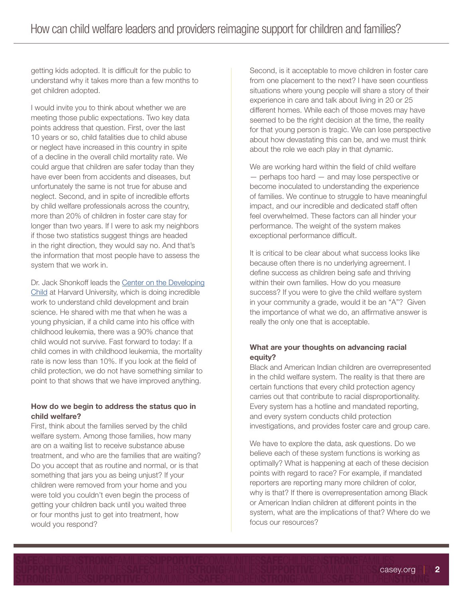getting kids adopted. It is difficult for the public to understand why it takes more than a few months to get children adopted.

I would invite you to think about whether we are meeting those public expectations. Two key data points address that question. First, over the last 10 years or so, child fatalities due to child abuse or neglect have increased in this country in spite of a decline in the overall child mortality rate. We could argue that children are safer today than they have ever been from accidents and diseases, but unfortunately the same is not true for abuse and neglect. Second, and in spite of incredible efforts by child welfare professionals across the country, more than 20% of children in foster care stay for longer than two years. If I were to ask my neighbors if those two statistics suggest things are headed in the right direction, they would say no. And that's the information that most people have to assess the system that we work in.

Dr. Jack Shonkoff leads the [Center on the Developing](https://developingchild.harvard.edu/)  [Child](https://developingchild.harvard.edu/) at Harvard University, which is doing incredible work to understand child development and brain science. He shared with me that when he was a young physician, if a child came into his office with childhood leukemia, there was a 90% chance that child would not survive. Fast forward to today: If a child comes in with childhood leukemia, the mortality rate is now less than 10%. If you look at the field of child protection, we do not have something similar to point to that shows that we have improved anything.

#### How do we begin to address the status quo in child welfare?

First, think about the families served by the child welfare system. Among those families, how many are on a waiting list to receive substance abuse treatment, and who are the families that are waiting? Do you accept that as routine and normal, or is that something that jars you as being unjust? If your children were removed from your home and you were told you couldn't even begin the process of getting your children back until you waited three or four months just to get into treatment, how would you respond?

Second, is it acceptable to move children in foster care from one placement to the next? I have seen countless situations where young people will share a story of their experience in care and talk about living in 20 or 25 different homes. While each of those moves may have seemed to be the right decision at the time, the reality for that young person is tragic. We can lose perspective about how devastating this can be, and we must think about the role we each play in that dynamic.

We are working hard within the field of child welfare — perhaps too hard — and may lose perspective or become inoculated to understanding the experience of families. We continue to struggle to have meaningful impact, and our incredible and dedicated staff often feel overwhelmed. These factors can all hinder your performance. The weight of the system makes exceptional performance difficult.

It is critical to be clear about what success looks like because often there is no underlying agreement. I define success as children being safe and thriving within their own families. How do you measure success? If you were to give the child welfare system in your community a grade, would it be an "A"? Given the importance of what we do, an affirmative answer is really the only one that is acceptable.

#### What are your thoughts on advancing racial equity?

Black and American Indian children are overrepresented in the child welfare system. The reality is that there are certain functions that every child protection agency carries out that contribute to racial disproportionality. Every system has a hotline and mandated reporting, and every system conducts child protection investigations, and provides foster care and group care.

We have to explore the data, ask questions. Do we believe each of these system functions is working as optimally? What is happening at each of these decision points with regard to race? For example, if mandated reporters are reporting many more children of color, why is that? If there is overrepresentation among Black or American Indian children at different points in the system, what are the implications of that? Where do we focus our resources?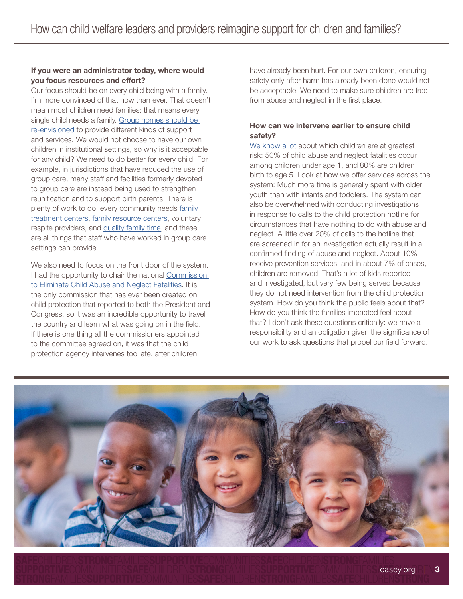#### If you were an administrator today, where would you focus resources and effort?

Our focus should be on every child being with a family. I'm more convinced of that now than ever. That doesn't mean most children need families: that means every single child needs a family. [Group homes should be](http://www.casey.org/jeremy-kohomban-qanda)  [re-envisioned](http://www.casey.org/jeremy-kohomban-qanda) to provide different kinds of support and services. We would not choose to have our own children in institutional settings, so why is it acceptable for any child? We need to do better for every child. For example, in jurisdictions that have reduced the use of group care, many staff and facilities formerly devoted to group care are instead being used to strengthen reunification and to support birth parents. There is plenty of work to do: every community needs family [treatment centers,](https://www.casey.org/family-based-residential-treatment/) [family resource centers](https://www.casey.org/family-resource-centers/), voluntary respite providers, and [quality family time,](https://www.casey.org/family-time/) and these are all things that staff who have worked in group care settings can provide.

We also need to focus on the front door of the system. I had the opportunity to chair the national [Commission](https://www.alliance1.org/web/within-our-reach/about-within-our-reach.aspx)  [to Eliminate Child Abuse and Neglect Fatalities](https://www.alliance1.org/web/within-our-reach/about-within-our-reach.aspx). It is the only commission that has ever been created on child protection that reported to both the President and Congress, so it was an incredible opportunity to travel the country and learn what was going on in the field. If there is one thing all the commissioners appointed to the committee agreed on, it was that the child protection agency intervenes too late, after children

have already been hurt. For our own children, ensuring safety only after harm has already been done would not be acceptable. We need to make sure children are free from abuse and neglect in the first place.

#### How can we intervene earlier to ensure child safety?

[We know a lot](https://www.casey.org/seven-strategies-to-reduce-child-fatalities/) about which children are at greatest risk: 50% of child abuse and neglect fatalities occur among children under age 1, and 80% are children birth to age 5. Look at how we offer services across the system: Much more time is generally spent with older youth than with infants and toddlers. The system can also be overwhelmed with conducting investigations in response to calls to the child protection hotline for circumstances that have nothing to do with abuse and neglect. A little over 20% of calls to the hotline that are screened in for an investigation actually result in a confirmed finding of abuse and neglect. About 10% receive prevention services, and in about 7% of cases, children are removed. That's a lot of kids reported and investigated, but very few being served because they do not need intervention from the child protection system. How do you think the public feels about that? How do you think the families impacted feel about that? I don't ask these questions critically: we have a responsibility and an obligation given the significance of our work to ask questions that propel our field forward.